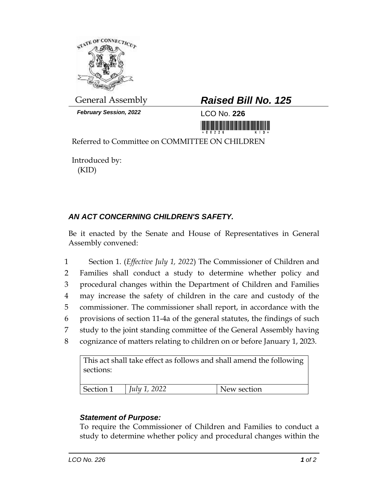

*February Session, 2022* LCO No. **226**

## General Assembly *Raised Bill No. 125*

<u> III Martin Martin Martin Martin Martin Martin Martin Martin Martin Martin Martin Martin Martin Ma</u>

Referred to Committee on COMMITTEE ON CHILDREN

Introduced by: (KID)

## *AN ACT CONCERNING CHILDREN'S SAFETY.*

Be it enacted by the Senate and House of Representatives in General Assembly convened:

 Section 1. (*Effective July 1, 2022*) The Commissioner of Children and Families shall conduct a study to determine whether policy and procedural changes within the Department of Children and Families may increase the safety of children in the care and custody of the commissioner. The commissioner shall report, in accordance with the provisions of section 11-4a of the general statutes, the findings of such study to the joint standing committee of the General Assembly having cognizance of matters relating to children on or before January 1, 2023.

| This act shall take effect as follows and shall amend the following<br>sections: |                     |             |
|----------------------------------------------------------------------------------|---------------------|-------------|
| Section 1                                                                        | <i>July 1, 2022</i> | New section |

## *Statement of Purpose:*

To require the Commissioner of Children and Families to conduct a study to determine whether policy and procedural changes within the